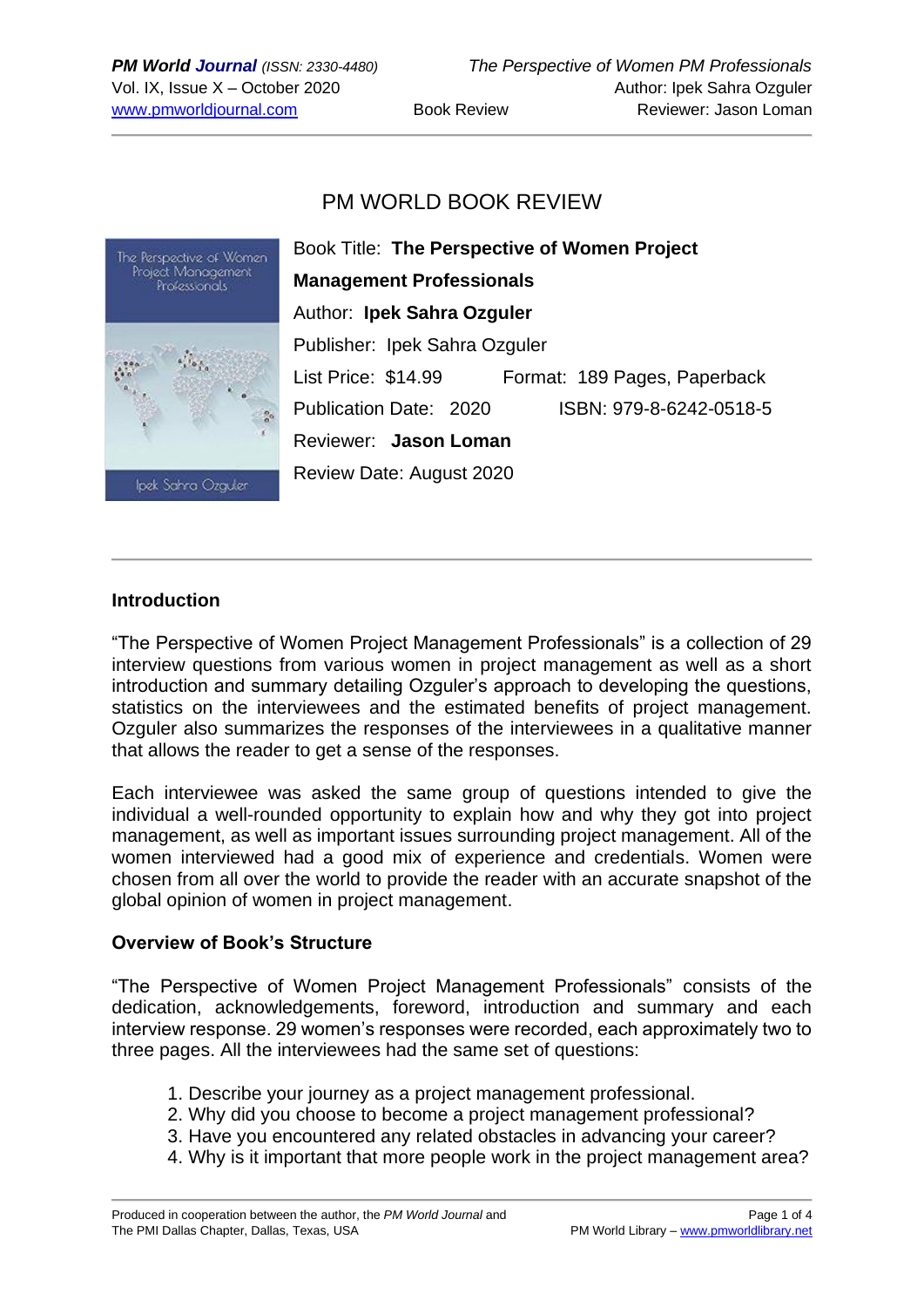# PM WORLD BOOK REVIEW



Book Title: **The Perspective of Women Project Management Professionals** Author: **Ipek Sahra Ozguler** Publisher: Ipek Sahra Ozguler List Price: \$14.99 Format: 189 Pages, Paperback Publication Date: 2020 ISBN: 979-8-6242-0518-5 Reviewer: **Jason Loman** Review Date: August 2020

### **Introduction**

"The Perspective of Women Project Management Professionals" is a collection of 29 interview questions from various women in project management as well as a short introduction and summary detailing Ozguler's approach to developing the questions, statistics on the interviewees and the estimated benefits of project management. Ozguler also summarizes the responses of the interviewees in a qualitative manner that allows the reader to get a sense of the responses.

Each interviewee was asked the same group of questions intended to give the individual a well-rounded opportunity to explain how and why they got into project management, as well as important issues surrounding project management. All of the women interviewed had a good mix of experience and credentials. Women were chosen from all over the world to provide the reader with an accurate snapshot of the global opinion of women in project management.

#### **Overview of Book's Structure**

"The Perspective of Women Project Management Professionals" consists of the dedication, acknowledgements, foreword, introduction and summary and each interview response. 29 women's responses were recorded, each approximately two to three pages. All the interviewees had the same set of questions:

- 1. Describe your journey as a project management professional.
- 2. Why did you choose to become a project management professional?
- 3. Have you encountered any related obstacles in advancing your career?
- 4. Why is it important that more people work in the project management area?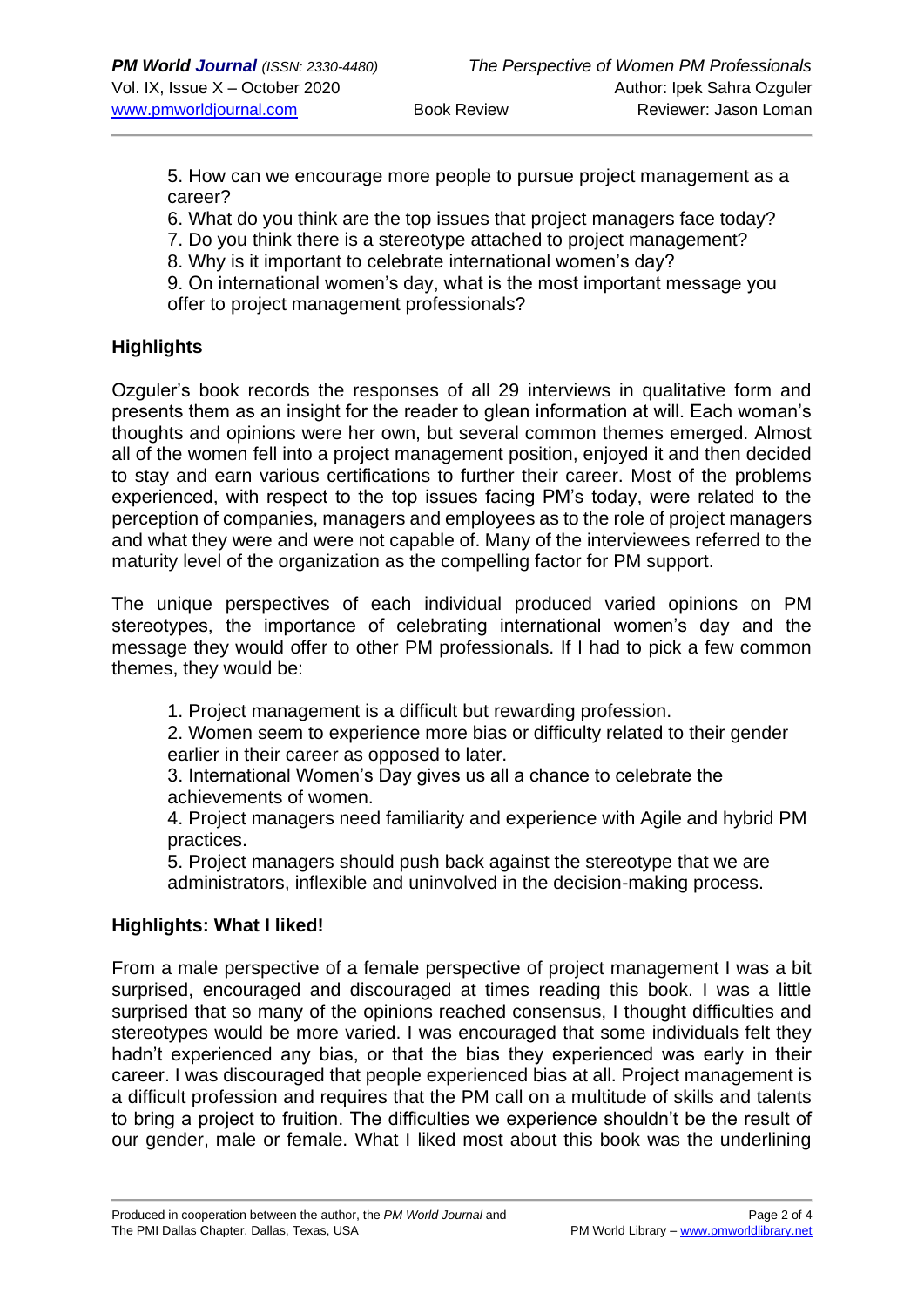5. How can we encourage more people to pursue project management as a career?

6. What do you think are the top issues that project managers face today?

7. Do you think there is a stereotype attached to project management?

8. Why is it important to celebrate international women's day?

9. On international women's day, what is the most important message you offer to project management professionals?

# **Highlights**

Ozguler's book records the responses of all 29 interviews in qualitative form and presents them as an insight for the reader to glean information at will. Each woman's thoughts and opinions were her own, but several common themes emerged. Almost all of the women fell into a project management position, enjoyed it and then decided to stay and earn various certifications to further their career. Most of the problems experienced, with respect to the top issues facing PM's today, were related to the perception of companies, managers and employees as to the role of project managers and what they were and were not capable of. Many of the interviewees referred to the maturity level of the organization as the compelling factor for PM support.

The unique perspectives of each individual produced varied opinions on PM stereotypes, the importance of celebrating international women's day and the message they would offer to other PM professionals. If I had to pick a few common themes, they would be:

1. Project management is a difficult but rewarding profession.

2. Women seem to experience more bias or difficulty related to their gender earlier in their career as opposed to later.

3. International Women's Day gives us all a chance to celebrate the achievements of women.

4. Project managers need familiarity and experience with Agile and hybrid PM practices.

5. Project managers should push back against the stereotype that we are administrators, inflexible and uninvolved in the decision-making process.

# **Highlights: What I liked!**

From a male perspective of a female perspective of project management I was a bit surprised, encouraged and discouraged at times reading this book. I was a little surprised that so many of the opinions reached consensus, I thought difficulties and stereotypes would be more varied. I was encouraged that some individuals felt they hadn't experienced any bias, or that the bias they experienced was early in their career. I was discouraged that people experienced bias at all. Project management is a difficult profession and requires that the PM call on a multitude of skills and talents to bring a project to fruition. The difficulties we experience shouldn't be the result of our gender, male or female. What I liked most about this book was the underlining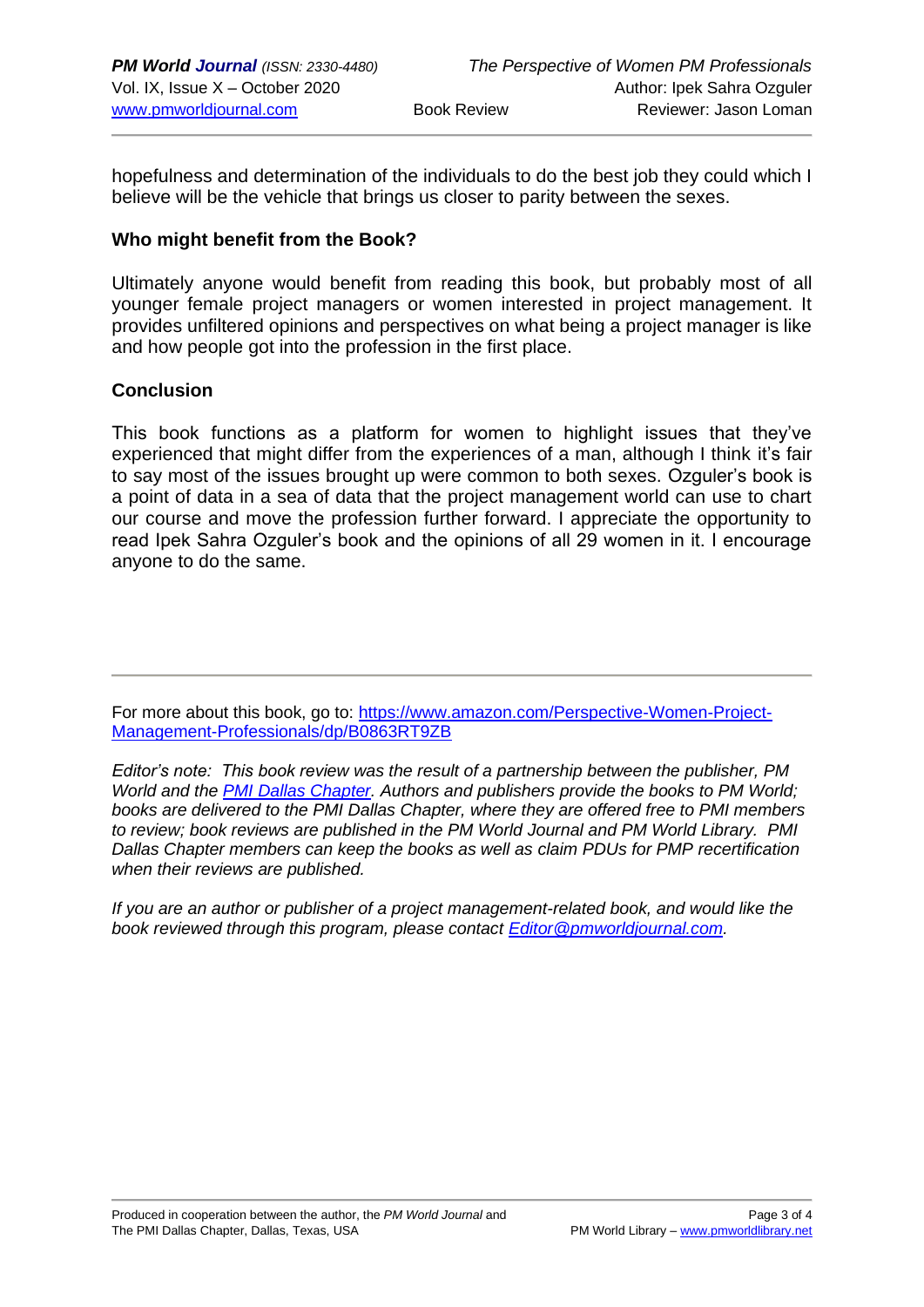hopefulness and determination of the individuals to do the best job they could which I believe will be the vehicle that brings us closer to parity between the sexes.

#### **Who might benefit from the Book?**

Ultimately anyone would benefit from reading this book, but probably most of all younger female project managers or women interested in project management. It provides unfiltered opinions and perspectives on what being a project manager is like and how people got into the profession in the first place.

### **Conclusion**

This book functions as a platform for women to highlight issues that they've experienced that might differ from the experiences of a man, although I think it's fair to say most of the issues brought up were common to both sexes. Ozguler's book is a point of data in a sea of data that the project management world can use to chart our course and move the profession further forward. I appreciate the opportunity to read Ipek Sahra Ozguler's book and the opinions of all 29 women in it. I encourage anyone to do the same.

For more about this book, go to: https://www.amazon.com/Perspective-Women-Proiect-[Management-Professionals/dp/B0863RT9ZB](https://www.amazon.com/Perspective-Women-Project-Management-Professionals/dp/B0863RT9ZB)

*Editor's note: This book review was the result of a partnership between the publisher, PM World and the [PMI Dallas Chapter.](http://www.pmidallas.org/) Authors and publishers provide the books to PM World; books are delivered to the PMI Dallas Chapter, where they are offered free to PMI members to review; book reviews are published in the PM World Journal and PM World Library. PMI Dallas Chapter members can keep the books as well as claim PDUs for PMP recertification when their reviews are published.* 

*If you are an author or publisher of a project management-related book, and would like the book reviewed through this program, please contact [Editor@pmworldjournal.com.](mailto:Editor@pmworldjournal.com)*